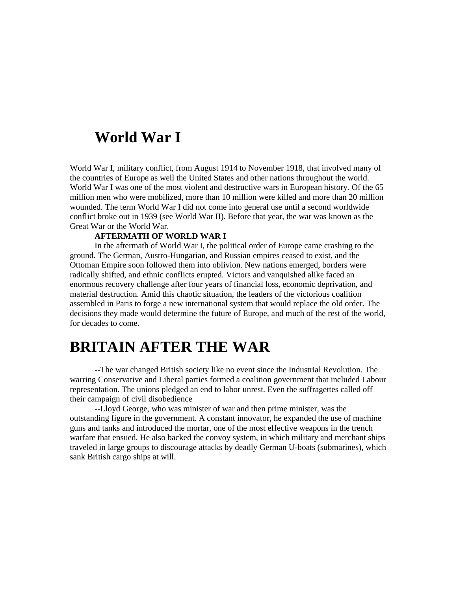## **World War I**

World War I, military conflict, from August 1914 to November 1918, that involved many of the countries of Europe as well the United States and other nations throughout the world. World War I was one of the most violent and destructive wars in European history. Of the 65 million men who were mobilized, more than 10 million were killed and more than 20 million wounded. The term World War I did not come into general use until a second worldwide conflict broke out in 1939 (see World War II). Before that year, the war was known as the Great War or the World War.

## **AFTERMATH OF WORLD WAR I**

In the aftermath of World War I, the political order of Europe came crashing to the ground. The German, Austro-Hungarian, and Russian empires ceased to exist, and the Ottoman Empire soon followed them into oblivion. New nations emerged, borders were radically shifted, and ethnic conflicts erupted. Victors and vanquished alike faced an enormous recovery challenge after four years of financial loss, economic deprivation, and material destruction. Amid this chaotic situation, the leaders of the victorious coalition assembled in Paris to forge a new international system that would replace the old order. The decisions they made would determine the future of Europe, and much of the rest of the world, for decades to come.

## **BRITAIN AFTER THE WAR**

--The war changed British society like no event since the Industrial Revolution. The warring Conservative and Liberal parties formed a coalition government that included Labour representation. The unions pledged an end to labor unrest. Even the suffragettes called off their campaign of civil disobedience

--Lloyd George, who was minister of war and then prime minister, was the outstanding figure in the government. A constant innovator, he expanded the use of machine guns and tanks and introduced the mortar, one of the most effective weapons in the trench warfare that ensued. He also backed the convoy system, in which military and merchant ships traveled in large groups to discourage attacks by deadly German U-boats (submarines), which sank British cargo ships at will.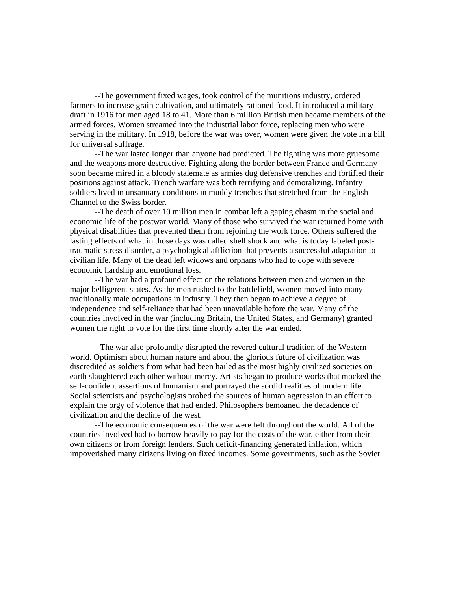--The government fixed wages, took control of the munitions industry, ordered farmers to increase grain cultivation, and ultimately rationed food. It introduced a military draft in 1916 for men aged 18 to 41. More than 6 million British men became members of the armed forces. Women streamed into the industrial labor force, replacing men who were serving in the military. In 1918, before the war was over, women were given the vote in a bill for universal suffrage.

--The war lasted longer than anyone had predicted. The fighting was more gruesome and the weapons more destructive. Fighting along the border between France and Germany soon became mired in a bloody stalemate as armies dug defensive trenches and fortified their positions against attack. Trench warfare was both terrifying and demoralizing. Infantry soldiers lived in unsanitary conditions in muddy trenches that stretched from the English Channel to the Swiss border.

--The death of over 10 million men in combat left a gaping chasm in the social and economic life of the postwar world. Many of those who survived the war returned home with physical disabilities that prevented them from rejoining the work force. Others suffered the lasting effects of what in those days was called shell shock and what is today labeled posttraumatic stress disorder, a psychological affliction that prevents a successful adaptation to civilian life. Many of the dead left widows and orphans who had to cope with severe economic hardship and emotional loss.

--The war had a profound effect on the relations between men and women in the major belligerent states. As the men rushed to the battlefield, women moved into many traditionally male occupations in industry. They then began to achieve a degree of independence and self-reliance that had been unavailable before the war. Many of the countries involved in the war (including Britain, the United States, and Germany) granted women the right to vote for the first time shortly after the war ended.

--The war also profoundly disrupted the revered cultural tradition of the Western world. Optimism about human nature and about the glorious future of civilization was discredited as soldiers from what had been hailed as the most highly civilized societies on earth slaughtered each other without mercy. Artists began to produce works that mocked the self-confident assertions of humanism and portrayed the sordid realities of modern life. Social scientists and psychologists probed the sources of human aggression in an effort to explain the orgy of violence that had ended. Philosophers bemoaned the decadence of civilization and the decline of the west.

--The economic consequences of the war were felt throughout the world. All of the countries involved had to borrow heavily to pay for the costs of the war, either from their own citizens or from foreign lenders. Such deficit-financing generated inflation, which impoverished many citizens living on fixed incomes. Some governments, such as the Soviet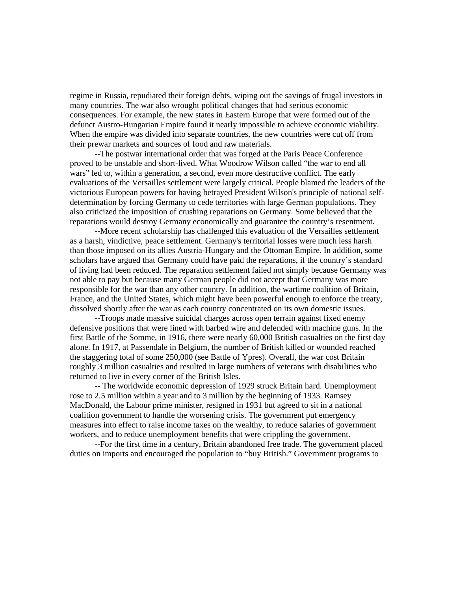regime in Russia, repudiated their foreign debts, wiping out the savings of frugal investors in many countries. The war also wrought political changes that had serious economic consequences. For example, the new states in Eastern Europe that were formed out of the defunct Austro-Hungarian Empire found it nearly impossible to achieve economic viability. When the empire was divided into separate countries, the new countries were cut off from their prewar markets and sources of food and raw materials.

--The postwar international order that was forged at the Paris Peace Conference proved to be unstable and short-lived. What Woodrow Wilson called "the war to end all wars" led to, within a generation, a second, even more destructive conflict. The early evaluations of the Versailles settlement were largely critical. People blamed the leaders of the victorious European powers for having betrayed President Wilson's principle of national selfdetermination by forcing Germany to cede territories with large German populations. They also criticized the imposition of crushing reparations on Germany. Some believed that the reparations would destroy Germany economically and guarantee the country's resentment.

--More recent scholarship has challenged this evaluation of the Versailles settlement as a harsh, vindictive, peace settlement. Germany's territorial losses were much less harsh than those imposed on its allies Austria-Hungary and the Ottoman Empire. In addition, some scholars have argued that Germany could have paid the reparations, if the country's standard of living had been reduced. The reparation settlement failed not simply because Germany was not able to pay but because many German people did not accept that Germany was more responsible for the war than any other country. In addition, the wartime coalition of Britain, France, and the United States, which might have been powerful enough to enforce the treaty, dissolved shortly after the war as each country concentrated on its own domestic issues.

--Troops made massive suicidal charges across open terrain against fixed enemy defensive positions that were lined with barbed wire and defended with machine guns. In the first Battle of the Somme, in 1916, there were nearly 60,000 British casualties on the first day alone. In 1917, at Passendale in Belgium, the number of British killed or wounded reached the staggering total of some 250,000 (see Battle of Ypres). Overall, the war cost Britain roughly 3 million casualties and resulted in large numbers of veterans with disabilities who returned to live in every corner of the British Isles.

-- The worldwide economic depression of 1929 struck Britain hard. Unemployment rose to 2.5 million within a year and to 3 million by the beginning of 1933. Ramsey MacDonald, the Labour prime minister, resigned in 1931 but agreed to sit in a national coalition government to handle the worsening crisis. The government put emergency measures into effect to raise income taxes on the wealthy, to reduce salaries of government workers, and to reduce unemployment benefits that were crippling the government.

--For the first time in a century, Britain abandoned free trade. The government placed duties on imports and encouraged the population to "buy British." Government programs to